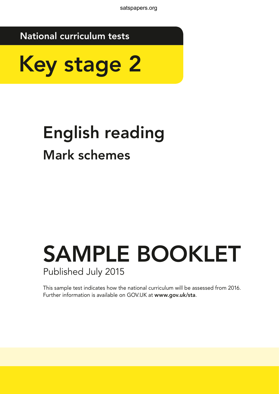National curriculum tests



# English reading

# Mark schemes

# SAMPLE BOOKLET Published July 2015

This sample test indicates how the national curriculum will be assessed from 2016. Further information is available on GOV.UK at www.gov.uk/sta.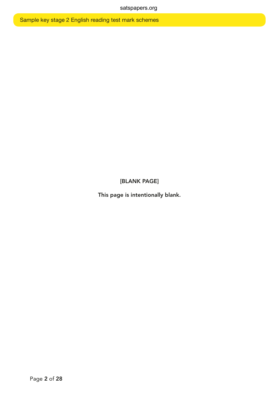[BLANK PAGE]

This page is intentionally blank.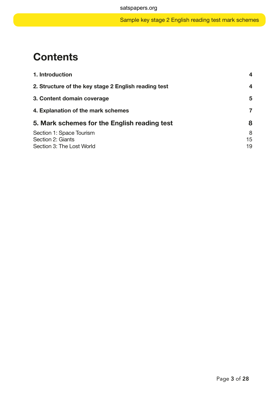## **Contents**

| 1. Introduction                                                            | 4             |
|----------------------------------------------------------------------------|---------------|
| 2. Structure of the key stage 2 English reading test                       | 4             |
| 3. Content domain coverage                                                 | 5             |
| 4. Explanation of the mark schemes                                         | 7             |
| 5. Mark schemes for the English reading test                               | 8             |
| Section 1: Space Tourism<br>Section 2: Giants<br>Section 3: The Lost World | 8<br>15<br>19 |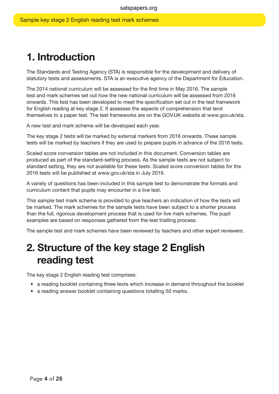## <span id="page-3-0"></span>1. Introduction

The Standards and Testing Agency (STA) is responsible for the development and delivery of statutory tests and assessments. STA is an executive agency of the Department for Education.

The 2014 national curriculum will be assessed for the first time in May 2016. The sample test and mark schemes set out how the new national curriculum will be assessed from 2016 onwards. This test has been developed to meet the specification set out in the test framework for English reading at key stage 2. It assesses the aspects of comprehension that lend themselves to a paper test. The test frameworks are on the GOV.UK website at www.gov.uk/sta.

A new test and mark scheme will be developed each year.

The key stage 2 tests will be marked by external markers from 2016 onwards. These sample tests will be marked by teachers if they are used to prepare pupils in advance of the 2016 tests.

Scaled score conversion tables are not included in this document. Conversion tables are produced as part of the standard-setting process. As the sample tests are not subject to standard setting, they are not available for these tests. Scaled score conversion tables for the 2016 tests will be published at www.gov.uk/sta in July 2016.

A variety of questions has been included in this sample test to demonstrate the formats and curriculum content that pupils may encounter in a live test.

This sample test mark scheme is provided to give teachers an indication of how the tests will be marked. The mark schemes for the sample tests have been subject to a shorter process than the full, rigorous development process that is used for live mark schemes. The pupil examples are based on responses gathered from the test trialling process.

The sample test and mark schemes have been reviewed by teachers and other expert reviewers.

## 2. Structure of the key stage 2 English reading test

The key stage 2 English reading test comprises:

- a reading booklet containing three texts which increase in demand throughout the booklet
- a reading answer booklet containing questions totalling 50 marks.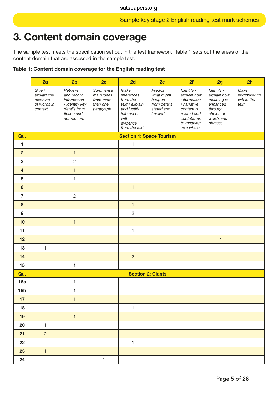## <span id="page-4-0"></span>3. Content domain coverage

The sample test meets the specification set out in the test framework. Table 1 sets out the areas of the content domain that are assessed in the sample test.

Table 1: Content domain coverage for the English reading test

|                         | 2a                                                          | 2 <sub>b</sub>                                                                                         | 2c                                                             | 2d                                                                                                                  | 2e                                                                        | 2f                                                                                                                               | 2g                                                                                                   | 2h                                         |
|-------------------------|-------------------------------------------------------------|--------------------------------------------------------------------------------------------------------|----------------------------------------------------------------|---------------------------------------------------------------------------------------------------------------------|---------------------------------------------------------------------------|----------------------------------------------------------------------------------------------------------------------------------|------------------------------------------------------------------------------------------------------|--------------------------------------------|
|                         | Give /<br>explain the<br>meaning<br>of words in<br>context. | Retrieve<br>and record<br>information<br>/ identify key<br>details from<br>fiction and<br>non-fiction. | Summarise<br>main ideas<br>from more<br>than one<br>paragraph. | Make<br>inferences<br>from the<br>text / explain<br>and justify<br>inferences<br>with<br>evidence<br>from the text. | Predict<br>what might<br>happen<br>from details<br>stated and<br>implied. | Identify /<br>explain how<br>information<br>/ narrative<br>content is<br>related and<br>contributes<br>to meaning<br>as a whole. | Identify /<br>explain how<br>meaning is<br>enhanced<br>through<br>choice of<br>words and<br>phrases. | Make<br>comparisons<br>within the<br>text. |
| Qu.                     |                                                             |                                                                                                        |                                                                |                                                                                                                     | <b>Section 1: Space Tourism</b>                                           |                                                                                                                                  |                                                                                                      |                                            |
| 1                       |                                                             |                                                                                                        |                                                                | $\mathbf{1}$                                                                                                        |                                                                           |                                                                                                                                  |                                                                                                      |                                            |
| $\overline{2}$          |                                                             | $\mathbf{1}$                                                                                           |                                                                |                                                                                                                     |                                                                           |                                                                                                                                  |                                                                                                      |                                            |
| 3                       |                                                             | $\overline{c}$                                                                                         |                                                                |                                                                                                                     |                                                                           |                                                                                                                                  |                                                                                                      |                                            |
| $\overline{\mathbf{4}}$ |                                                             | $\mathbf{1}$                                                                                           |                                                                |                                                                                                                     |                                                                           |                                                                                                                                  |                                                                                                      |                                            |
| 5                       |                                                             | 1                                                                                                      |                                                                |                                                                                                                     |                                                                           |                                                                                                                                  |                                                                                                      |                                            |
| $6\phantom{a}$          |                                                             |                                                                                                        |                                                                | $\mathbf{1}$                                                                                                        |                                                                           |                                                                                                                                  |                                                                                                      |                                            |
| $\overline{7}$          |                                                             | $\sqrt{2}$                                                                                             |                                                                |                                                                                                                     |                                                                           |                                                                                                                                  |                                                                                                      |                                            |
| 8                       |                                                             |                                                                                                        |                                                                | $\mathbf{1}$                                                                                                        |                                                                           |                                                                                                                                  |                                                                                                      |                                            |
| $\boldsymbol{9}$        |                                                             |                                                                                                        |                                                                | $\sqrt{2}$                                                                                                          |                                                                           |                                                                                                                                  |                                                                                                      |                                            |
| 10                      |                                                             | $\mathbf{1}$                                                                                           |                                                                |                                                                                                                     |                                                                           |                                                                                                                                  |                                                                                                      |                                            |
| 11                      |                                                             |                                                                                                        |                                                                | $\mathbf{1}$                                                                                                        |                                                                           |                                                                                                                                  |                                                                                                      |                                            |
| 12                      |                                                             |                                                                                                        |                                                                |                                                                                                                     |                                                                           |                                                                                                                                  | $\mathbf{1}$                                                                                         |                                            |
| 13                      | 1                                                           |                                                                                                        |                                                                |                                                                                                                     |                                                                           |                                                                                                                                  |                                                                                                      |                                            |
| 14                      |                                                             |                                                                                                        |                                                                | $\overline{2}$                                                                                                      |                                                                           |                                                                                                                                  |                                                                                                      |                                            |
| 15                      |                                                             | 1                                                                                                      |                                                                |                                                                                                                     |                                                                           |                                                                                                                                  |                                                                                                      |                                            |
| Qu.                     |                                                             |                                                                                                        |                                                                | <b>Section 2: Giants</b>                                                                                            |                                                                           |                                                                                                                                  |                                                                                                      |                                            |
| 16a                     |                                                             | 1                                                                                                      |                                                                |                                                                                                                     |                                                                           |                                                                                                                                  |                                                                                                      |                                            |
| 16 <sub>b</sub>         |                                                             | 1                                                                                                      |                                                                |                                                                                                                     |                                                                           |                                                                                                                                  |                                                                                                      |                                            |
| 17                      |                                                             | $\mathbf{1}$                                                                                           |                                                                |                                                                                                                     |                                                                           |                                                                                                                                  |                                                                                                      |                                            |
| 18                      |                                                             |                                                                                                        |                                                                | $\mathbf{1}$                                                                                                        |                                                                           |                                                                                                                                  |                                                                                                      |                                            |
| 19                      |                                                             | $\mathbf{1}$                                                                                           |                                                                |                                                                                                                     |                                                                           |                                                                                                                                  |                                                                                                      |                                            |
| 20                      | 1                                                           |                                                                                                        |                                                                |                                                                                                                     |                                                                           |                                                                                                                                  |                                                                                                      |                                            |
| 21                      | $\overline{2}$                                              |                                                                                                        |                                                                |                                                                                                                     |                                                                           |                                                                                                                                  |                                                                                                      |                                            |
| 22                      |                                                             |                                                                                                        |                                                                | 1                                                                                                                   |                                                                           |                                                                                                                                  |                                                                                                      |                                            |
| 23                      | $\mathbf{1}$                                                |                                                                                                        |                                                                |                                                                                                                     |                                                                           |                                                                                                                                  |                                                                                                      |                                            |
| 24                      |                                                             |                                                                                                        | $\mathbf{1}$                                                   |                                                                                                                     |                                                                           |                                                                                                                                  |                                                                                                      |                                            |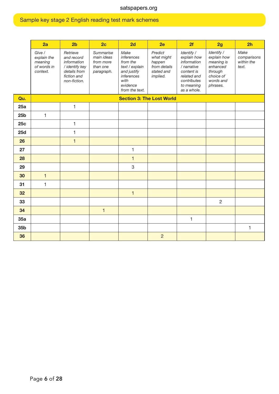|                 | 2a                                                          | 2 <sub>b</sub>                                                                                         | 2c                                                             | 2d                                                                                                                  | 2e                                                                        | 2f                                                                                                                               | 2g                                                                                                   | 2h                                         |
|-----------------|-------------------------------------------------------------|--------------------------------------------------------------------------------------------------------|----------------------------------------------------------------|---------------------------------------------------------------------------------------------------------------------|---------------------------------------------------------------------------|----------------------------------------------------------------------------------------------------------------------------------|------------------------------------------------------------------------------------------------------|--------------------------------------------|
|                 | Give /<br>explain the<br>meaning<br>of words in<br>context. | Retrieve<br>and record<br>information<br>/ identify key<br>details from<br>fiction and<br>non-fiction. | Summarise<br>main ideas<br>from more<br>than one<br>paragraph. | Make<br>inferences<br>from the<br>text / explain<br>and justify<br>inferences<br>with<br>evidence<br>from the text. | Predict<br>what might<br>happen<br>from details<br>stated and<br>implied. | Identify /<br>explain how<br>information<br>/ narrative<br>content is<br>related and<br>contributes<br>to meaning<br>as a whole. | Identify /<br>explain how<br>meaning is<br>enhanced<br>through<br>choice of<br>words and<br>phrases. | Make<br>comparisons<br>within the<br>text. |
| Qu.             |                                                             |                                                                                                        |                                                                | <b>Section 3: The Lost World</b>                                                                                    |                                                                           |                                                                                                                                  |                                                                                                      |                                            |
| 25a             |                                                             | $\mathbf{1}$                                                                                           |                                                                |                                                                                                                     |                                                                           |                                                                                                                                  |                                                                                                      |                                            |
| 25 <sub>b</sub> | $\mathbf{1}$                                                |                                                                                                        |                                                                |                                                                                                                     |                                                                           |                                                                                                                                  |                                                                                                      |                                            |
| <b>25c</b>      |                                                             | $\mathbf{1}$                                                                                           |                                                                |                                                                                                                     |                                                                           |                                                                                                                                  |                                                                                                      |                                            |
| 25d             |                                                             | 1                                                                                                      |                                                                |                                                                                                                     |                                                                           |                                                                                                                                  |                                                                                                      |                                            |
| 26              |                                                             | $\mathbf{1}$                                                                                           |                                                                |                                                                                                                     |                                                                           |                                                                                                                                  |                                                                                                      |                                            |
| 27              |                                                             |                                                                                                        |                                                                | $\mathbf{1}$                                                                                                        |                                                                           |                                                                                                                                  |                                                                                                      |                                            |
| 28              |                                                             |                                                                                                        |                                                                | $\mathbf{1}$                                                                                                        |                                                                           |                                                                                                                                  |                                                                                                      |                                            |
| 29              |                                                             |                                                                                                        |                                                                | $\,$ 3 $\,$                                                                                                         |                                                                           |                                                                                                                                  |                                                                                                      |                                            |
| 30              | $\mathbf{1}$                                                |                                                                                                        |                                                                |                                                                                                                     |                                                                           |                                                                                                                                  |                                                                                                      |                                            |
| 31              | $\mathbf{1}$                                                |                                                                                                        |                                                                |                                                                                                                     |                                                                           |                                                                                                                                  |                                                                                                      |                                            |
| 32              |                                                             |                                                                                                        |                                                                | $\mathbf{1}$                                                                                                        |                                                                           |                                                                                                                                  |                                                                                                      |                                            |
| 33              |                                                             |                                                                                                        |                                                                |                                                                                                                     |                                                                           |                                                                                                                                  | $\overline{2}$                                                                                       |                                            |
| 34              |                                                             |                                                                                                        | $\mathbf{1}$                                                   |                                                                                                                     |                                                                           |                                                                                                                                  |                                                                                                      |                                            |
| 35a             |                                                             |                                                                                                        |                                                                |                                                                                                                     |                                                                           | $\mathbf{1}$                                                                                                                     |                                                                                                      |                                            |
| 35 <sub>b</sub> |                                                             |                                                                                                        |                                                                |                                                                                                                     |                                                                           |                                                                                                                                  |                                                                                                      | 1                                          |
| 36              |                                                             |                                                                                                        |                                                                |                                                                                                                     | $\overline{2}$                                                            |                                                                                                                                  |                                                                                                      |                                            |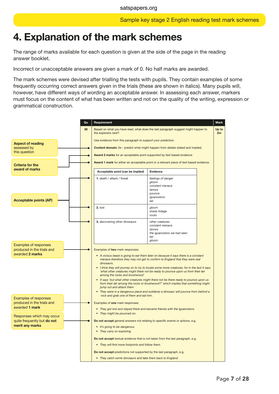## <span id="page-6-0"></span>4. Explanation of the mark schemes

The range of marks available for each question is given at the side of the page in the reading answer booklet.

Incorrect or unacceptable answers are given a mark of 0. No half marks are awarded.

The mark schemes were devised after trialling the tests with pupils. They contain examples of some frequently occurring correct answers given in the trials (these are shown in italics). Many pupils will, however, have different ways of wording an acceptable answer. In assessing each answer, markers must focus on the content of what has been written and not on the quality of the writing, expression or grammatical construction.

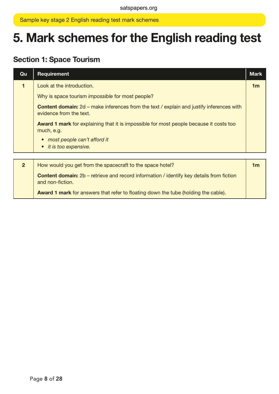## <span id="page-7-0"></span>5. Mark schemes for the English reading test

#### Section 1: Space Tourism

and non-fiction.

| Qu             | <b>Requirement</b>                                                                                                         | <b>Mark</b>    |
|----------------|----------------------------------------------------------------------------------------------------------------------------|----------------|
|                | Look at the introduction.                                                                                                  | 1 <sub>m</sub> |
|                | Why is space tourism <i>impossible</i> for most people?                                                                    |                |
|                | <b>Content domain:</b> 2d – make inferences from the text / explain and justify inferences with<br>evidence from the text. |                |
|                | <b>Award 1 mark</b> for explaining that it is impossible for most people because it costs too<br>much, e.g.                |                |
|                | most people can't afford it                                                                                                |                |
|                | • it is too expensive.                                                                                                     |                |
|                |                                                                                                                            |                |
| $\overline{2}$ | How would you get from the spacecraft to the space hotel?                                                                  | 1 <sub>m</sub> |
|                | <b>Content domain:</b> 2b – retrieve and record information / identify key details from fiction                            |                |

Award 1 mark for answers that refer to floating down the tube (holding the cable).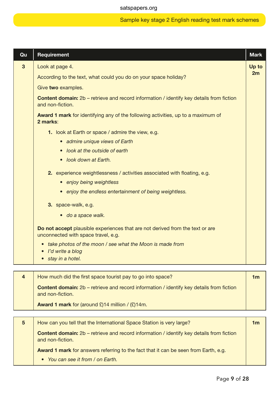| Qu                      | Requirement                                                                                                                                                                                                                                                                                                                                                                                                                                                                                                                                                                                                                                                                                                                                                                                                                                                                                                                                                     | <b>Mark</b>    |
|-------------------------|-----------------------------------------------------------------------------------------------------------------------------------------------------------------------------------------------------------------------------------------------------------------------------------------------------------------------------------------------------------------------------------------------------------------------------------------------------------------------------------------------------------------------------------------------------------------------------------------------------------------------------------------------------------------------------------------------------------------------------------------------------------------------------------------------------------------------------------------------------------------------------------------------------------------------------------------------------------------|----------------|
| $\mathbf{3}$            | Look at page 4.<br>According to the text, what could you do on your space holiday?<br>Give two examples.<br><b>Content domain:</b> 2b – retrieve and record information / identify key details from fiction<br>and non-fiction.<br><b>Award 1 mark</b> for identifying any of the following activities, up to a maximum of<br>2 marks:<br>1. look at Earth or space / admire the view, e.g.<br>• admire unique views of Earth<br>• look at the outside of earth<br>• look down at Earth.<br>2. experience weightlessness / activities associated with floating, e.g.<br>• enjoy being weightless<br>• enjoy the endless entertainment of being weightless.<br>3. space-walk, e.g.<br>• do a space walk.<br>Do not accept plausible experiences that are not derived from the text or are<br>unconnected with space travel, e.g.<br>take photos of the moon / see what the Moon is made from<br>$\bullet$<br>• I'd write a blog<br>stay in a hotel.<br>$\bullet$ | Up to<br>2m    |
| $\overline{\mathbf{4}}$ | How much did the first space tourist pay to go into space?<br><b>Content domain:</b> 2b – retrieve and record information / identify key details from fiction<br>and non-fiction.<br><b>Award 1 mark</b> for (around $E$ )14 million / $(E)$ 14m.                                                                                                                                                                                                                                                                                                                                                                                                                                                                                                                                                                                                                                                                                                               | 1 <sub>m</sub> |
| $5\phantom{1}$          | How can you tell that the International Space Station is very large?<br><b>Content domain:</b> 2b – retrieve and record information / identify key details from fiction<br>and non-fiction.<br><b>Award 1 mark</b> for answers referring to the fact that it can be seen from Earth, e.g.                                                                                                                                                                                                                                                                                                                                                                                                                                                                                                                                                                                                                                                                       | 1 <sub>m</sub> |

• *You can see it from / on Earth.*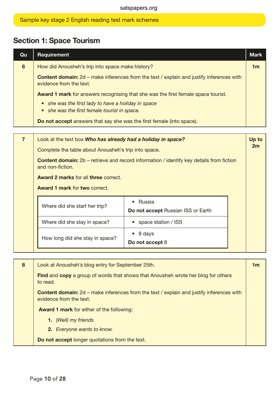## Section 1: Space Tourism

| Qu             | Requirement                                                                                                                |                                                                                                 | <b>Mark</b>    |  |  |
|----------------|----------------------------------------------------------------------------------------------------------------------------|-------------------------------------------------------------------------------------------------|----------------|--|--|
| 6              | How did Anousheh's trip into space make history?                                                                           |                                                                                                 | 1 <sub>m</sub> |  |  |
|                | evidence from the text.                                                                                                    | <b>Content domain:</b> 2d – make inferences from the text / explain and justify inferences with |                |  |  |
|                | <b>Award 1 mark</b> for answers recognising that she was the first female space tourist.                                   |                                                                                                 |                |  |  |
|                | • she was the first lady to have a holiday in space<br>• she was the first female tourist in space.                        |                                                                                                 |                |  |  |
|                | Do not accept answers that say she was the first female (into space).                                                      |                                                                                                 |                |  |  |
| $\overline{7}$ | Look at the text box Who has already had a holiday in space?                                                               |                                                                                                 | Up to          |  |  |
|                | Complete the table about Anousheh's trip into space.                                                                       |                                                                                                 | 2m             |  |  |
|                |                                                                                                                            |                                                                                                 |                |  |  |
|                | <b>Content domain:</b> 2b – retrieve and record information / identify key details from fiction<br>and non-fiction.        |                                                                                                 |                |  |  |
|                | <b>Award 2 marks for all three correct.</b>                                                                                |                                                                                                 |                |  |  |
|                | <b>Award 1 mark for two correct.</b>                                                                                       |                                                                                                 |                |  |  |
|                | Where did she start her trip?                                                                                              | • Russia<br>Do not accept Russian ISS or Earth                                                  |                |  |  |
|                | Where did she stay in space?                                                                                               | space station / ISS<br>$\bullet$                                                                |                |  |  |
|                |                                                                                                                            | 8 days<br>$\bullet$                                                                             |                |  |  |
|                | How long did she stay in space?                                                                                            | Do not accept 8                                                                                 |                |  |  |
|                |                                                                                                                            |                                                                                                 |                |  |  |
| 8              | Look at Anousheh's blog entry for September 25th.                                                                          |                                                                                                 | 1 <sub>m</sub> |  |  |
|                | Find and copy a group of words that shows that Anousheh wrote her blog for others<br>to read.                              |                                                                                                 |                |  |  |
|                | <b>Content domain:</b> 2d – make inferences from the text / explain and justify inferences with<br>evidence from the text. |                                                                                                 |                |  |  |
|                | <b>Award 1 mark for either of the following:</b>                                                                           |                                                                                                 |                |  |  |
|                | 1. (Well) my friends                                                                                                       |                                                                                                 |                |  |  |

2. *Everyone wants to know.*

Do not accept longer quotations from the text.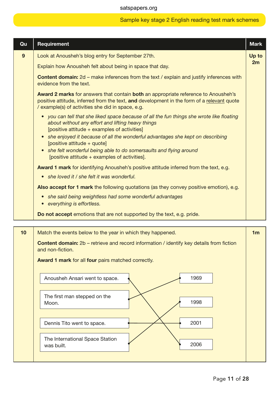| Qu | Requirement                                                                                                                                                                                                                           | <b>Mark</b>    |  |  |  |  |
|----|---------------------------------------------------------------------------------------------------------------------------------------------------------------------------------------------------------------------------------------|----------------|--|--|--|--|
| 9  | Look at Anousheh's blog entry for September 27th.                                                                                                                                                                                     | Up to          |  |  |  |  |
|    | Explain how Anousheh felt about being in space that day.                                                                                                                                                                              | 2m             |  |  |  |  |
|    | <b>Content domain:</b> 2d – make inferences from the text / explain and justify inferences with<br>evidence from the text.                                                                                                            |                |  |  |  |  |
|    | Award 2 marks for answers that contain both an appropriate reference to Anousheh's<br>positive attitude, inferred from the text, and development in the form of a relevant quote<br>/ example(s) of activities she did in space, e.g. |                |  |  |  |  |
|    | • you can tell that she liked space because of all the fun things she wrote like floating<br>about without any effort and lifting heavy things<br>[positive attitude + examples of activities]                                        |                |  |  |  |  |
|    | she enjoyed it because of all the wonderful advantages she kept on describing<br>[positive attitude + quote]                                                                                                                          |                |  |  |  |  |
|    | • she felt wonderful being able to do somersaults and flying around<br>[positive attitude + examples of activities].                                                                                                                  |                |  |  |  |  |
|    | <b>Award 1 mark</b> for identifying Anousheh's positive attitude inferred from the text, e.g.                                                                                                                                         |                |  |  |  |  |
|    | • she loved it / she felt it was wonderful.                                                                                                                                                                                           |                |  |  |  |  |
|    | Also accept for 1 mark the following quotations (as they convey positive emotion), e.g.                                                                                                                                               |                |  |  |  |  |
|    | she said being weightless had some wonderful advantages<br>$\bullet$<br>everything is effortless.<br>$\bullet$                                                                                                                        |                |  |  |  |  |
|    | Do not accept emotions that are not supported by the text, e.g. pride.                                                                                                                                                                |                |  |  |  |  |
|    |                                                                                                                                                                                                                                       |                |  |  |  |  |
| 10 | Match the events below to the year in which they happened.                                                                                                                                                                            | 1 <sub>m</sub> |  |  |  |  |
|    | <b>Content domain:</b> 2b – retrieve and record information / identify key details from fiction<br>and non-fiction.                                                                                                                   |                |  |  |  |  |
|    | Award 1 mark for all four pairs matched correctly.                                                                                                                                                                                    |                |  |  |  |  |
|    |                                                                                                                                                                                                                                       |                |  |  |  |  |
|    | 1969<br>Anousheh Ansari went to space.                                                                                                                                                                                                |                |  |  |  |  |
|    | The first man stepped on the<br>1998<br>Moon.                                                                                                                                                                                         |                |  |  |  |  |
|    | 2001<br>Dennis Tito went to space.                                                                                                                                                                                                    |                |  |  |  |  |
|    | The International Space Station<br>2006<br>was built.                                                                                                                                                                                 |                |  |  |  |  |
|    |                                                                                                                                                                                                                                       |                |  |  |  |  |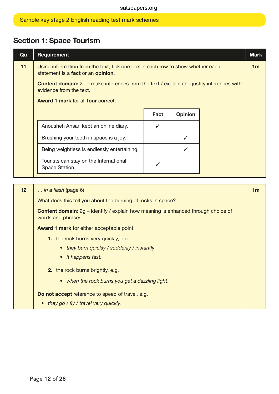## Section 1: Space Tourism

| Qu | Requirement                                                                                                                |      |                |  | <b>Mark</b> |  |  |
|----|----------------------------------------------------------------------------------------------------------------------------|------|----------------|--|-------------|--|--|
| 11 | Using information from the text, tick one box in each row to show whether each<br>statement is a fact or an opinion.       |      |                |  |             |  |  |
|    | <b>Content domain:</b> 2d – make inferences from the text / explain and justify inferences with<br>evidence from the text. |      |                |  |             |  |  |
|    | <b>Award 1 mark for all four correct.</b>                                                                                  |      |                |  |             |  |  |
|    |                                                                                                                            | Fact | <b>Opinion</b> |  |             |  |  |
|    | Anousheh Ansari kept an online diary.                                                                                      |      |                |  |             |  |  |
|    | Brushing your teeth in space is a joy.                                                                                     |      |                |  |             |  |  |
|    | Being weightless is endlessly entertaining.                                                                                |      |                |  |             |  |  |
|    | Tourists can stay on the International<br>Space Station.                                                                   |      |                |  |             |  |  |
|    |                                                                                                                            |      |                |  |             |  |  |
|    |                                                                                                                            |      |                |  |             |  |  |

| 12 | $\ldots$ in a flash (page 6)                                                                                   | 1 <sub>m</sub> |  |
|----|----------------------------------------------------------------------------------------------------------------|----------------|--|
|    | What does this tell you about the burning of rocks in space?                                                   |                |  |
|    | <b>Content domain:</b> 2g – identify / explain how meaning is enhanced through choice of<br>words and phrases. |                |  |
|    | <b>Award 1 mark</b> for either acceptable point:                                                               |                |  |
|    | 1. the rock burns very quickly, e.g.                                                                           |                |  |
|    | • they burn quickly / suddenly / instantly                                                                     |                |  |
|    | it happens fast.<br>$\bullet$                                                                                  |                |  |
|    | 2. the rock burns brightly, e.g.                                                                               |                |  |
|    | • when the rock burns you get a dazzling light.                                                                |                |  |
|    | Do not accept reference to speed of travel, e.g.                                                               |                |  |
|    | they go / fly / travel very quickly.                                                                           |                |  |
|    |                                                                                                                |                |  |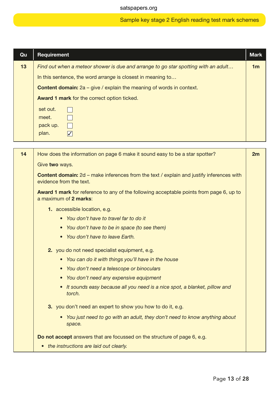| Qu | Requirement                                                                        | <b>Mark</b> |  |  |  |  |
|----|------------------------------------------------------------------------------------|-------------|--|--|--|--|
| 13 | Find out when a meteor shower is due and arrange to go star spotting with an adult |             |  |  |  |  |
|    | In this sentence, the word arrange is closest in meaning to                        |             |  |  |  |  |
|    | <b>Content domain:</b> $2a - give / explain the meaning of words in context.$      |             |  |  |  |  |
|    | <b>Award 1 mark</b> for the correct option ticked.                                 |             |  |  |  |  |
|    | set out.                                                                           |             |  |  |  |  |
|    | meet.                                                                              |             |  |  |  |  |
|    | pack up.                                                                           |             |  |  |  |  |
|    | plan.                                                                              |             |  |  |  |  |

| 14 | How does the information on page 6 make it sound easy to be a star spotter?                                                | 2m |
|----|----------------------------------------------------------------------------------------------------------------------------|----|
|    | Give two ways.                                                                                                             |    |
|    | <b>Content domain:</b> 2d – make inferences from the text / explain and justify inferences with<br>evidence from the text. |    |
|    | <b>Award 1 mark</b> for reference to any of the following acceptable points from page 6, up to<br>a maximum of 2 marks:    |    |
|    | 1. accessible location, e.g.                                                                                               |    |
|    | • You don't have to travel far to do it                                                                                    |    |
|    | • You don't have to be in space (to see them)                                                                              |    |
|    | • You don't have to leave Earth.                                                                                           |    |
|    | 2. you do not need specialist equipment, e.g.                                                                              |    |
|    | • You can do it with things you'll have in the house                                                                       |    |
|    | • You don't need a telescope or binoculars                                                                                 |    |
|    | • You don't need any expensive equipment                                                                                   |    |
|    | • It sounds easy because all you need is a nice spot, a blanket, pillow and<br>torch.                                      |    |
|    | 3. you don't need an expert to show you how to do it, e.g.                                                                 |    |
|    | • You just need to go with an adult, they don't need to know anything about<br>space.                                      |    |
|    | Do not accept answers that are focussed on the structure of page 6, e.g.                                                   |    |
|    | the instructions are laid out clearly.                                                                                     |    |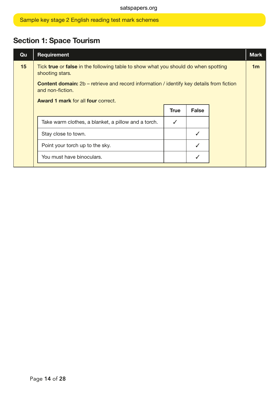## Section 1: Space Tourism

| Qu | Requirement                                                                                                         |             |              |  | <b>Mark</b> |  |  |
|----|---------------------------------------------------------------------------------------------------------------------|-------------|--------------|--|-------------|--|--|
| 15 | Tick true or false in the following table to show what you should do when spotting<br>shooting stars.               |             |              |  |             |  |  |
|    | <b>Content domain:</b> 2b – retrieve and record information / identify key details from fiction<br>and non-fiction. |             |              |  |             |  |  |
|    | <b>Award 1 mark for all four correct.</b>                                                                           |             |              |  |             |  |  |
|    |                                                                                                                     | <b>True</b> | <b>False</b> |  |             |  |  |
|    | Take warm clothes, a blanket, a pillow and a torch.                                                                 | ✔           |              |  |             |  |  |
|    | Stay close to town.                                                                                                 |             | ✓            |  |             |  |  |
|    | Point your torch up to the sky.                                                                                     |             |              |  |             |  |  |
|    | You must have binoculars.                                                                                           |             |              |  |             |  |  |
|    |                                                                                                                     |             |              |  |             |  |  |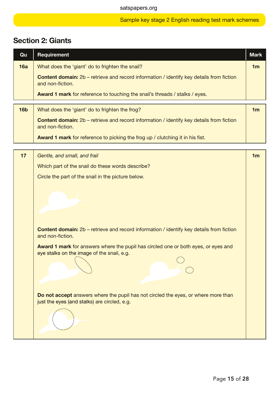Sample key stage 2 English reading test mark schemes

#### <span id="page-14-0"></span>Section 2: Giants

| Requirement                                                                                                                                                                                                                                                                                                                                                                                   | <b>Mark</b>                                                                                                                            |
|-----------------------------------------------------------------------------------------------------------------------------------------------------------------------------------------------------------------------------------------------------------------------------------------------------------------------------------------------------------------------------------------------|----------------------------------------------------------------------------------------------------------------------------------------|
| What does the 'giant' do to frighten the snail?                                                                                                                                                                                                                                                                                                                                               | 1 <sub>m</sub>                                                                                                                         |
| <b>Content domain:</b> 2b – retrieve and record information / identify key details from fiction<br>and non-fiction.                                                                                                                                                                                                                                                                           |                                                                                                                                        |
| Award 1 mark for reference to touching the snail's threads / stalks / eyes.                                                                                                                                                                                                                                                                                                                   |                                                                                                                                        |
| What does the 'giant' do to frighten the frog?                                                                                                                                                                                                                                                                                                                                                | 1 <sub>m</sub>                                                                                                                         |
| <b>Content domain:</b> 2b – retrieve and record information / identify key details from fiction<br>and non-fiction.                                                                                                                                                                                                                                                                           |                                                                                                                                        |
| <b>Award 1 mark</b> for reference to picking the frog up / clutching it in his fist.                                                                                                                                                                                                                                                                                                          |                                                                                                                                        |
|                                                                                                                                                                                                                                                                                                                                                                                               | 1 <sub>m</sub>                                                                                                                         |
|                                                                                                                                                                                                                                                                                                                                                                                               |                                                                                                                                        |
|                                                                                                                                                                                                                                                                                                                                                                                               |                                                                                                                                        |
| <b>Content domain:</b> 2b – retrieve and record information / identify key details from fiction<br>and non-fiction.<br>Award 1 mark for answers where the pupil has circled one or both eyes, or eyes and<br>eye stalks on the image of the snail, e.g.<br>Do not accept answers where the pupil has not circled the eyes, or where more than<br>just the eyes (and stalks) are circled, e.g. |                                                                                                                                        |
|                                                                                                                                                                                                                                                                                                                                                                                               | Gentle, and small, and frail<br>Which part of the snail do these words describe?<br>Circle the part of the snail in the picture below. |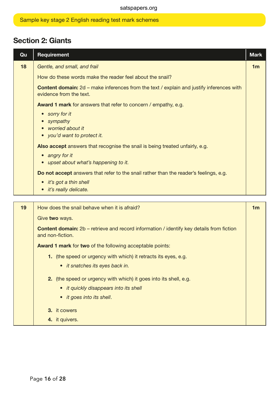## Section 2: Giants

| Qu | Requirement                                                                                                                | <b>Mark</b>    |
|----|----------------------------------------------------------------------------------------------------------------------------|----------------|
| 18 | Gentle, and small, and frail                                                                                               | 1 <sub>m</sub> |
|    | How do these words make the reader feel about the snail?                                                                   |                |
|    | <b>Content domain:</b> 2d – make inferences from the text / explain and justify inferences with<br>evidence from the text. |                |
|    | <b>Award 1 mark</b> for answers that refer to concern / empathy, e.g.                                                      |                |
|    | sorry for it<br>$\bullet$                                                                                                  |                |
|    | sympathy<br>worried about it                                                                                               |                |
|    | • you'd want to protect it.                                                                                                |                |
|    | Also accept answers that recognise the snail is being treated unfairly, e.g.                                               |                |
|    | angry for it<br>$\bullet$                                                                                                  |                |
|    | upset about what's happening to it.                                                                                        |                |
|    | Do not accept answers that refer to the snail rather than the reader's feelings, e.g.                                      |                |
|    | it's got a thin shell<br>$\bullet$<br>· it's really delicate.                                                              |                |
|    |                                                                                                                            |                |
| 19 | How does the snail behave when it is afraid?                                                                               | 1 <sub>m</sub> |
|    | Give two ways.                                                                                                             |                |
|    | <b>Content domain:</b> 2b – retrieve and record information / identify key details from fiction<br>and non-fiction.        |                |
|    | <b>Award 1 mark for two of the following acceptable points:</b>                                                            |                |
|    | 1. (the speed or urgency with which) it retracts its eyes, e.g.                                                            |                |
|    | the contract of the contract of the contract of the contract of the contract of the contract of the contract of            |                |

- *it snatches its eyes back in.*
- 2. (the speed or urgency with which) it goes into its shell, e.g.
	- *it quickly disappears into its shell*
	- *it goes into its shell*.
- 3. it cowers
- 4. it quivers.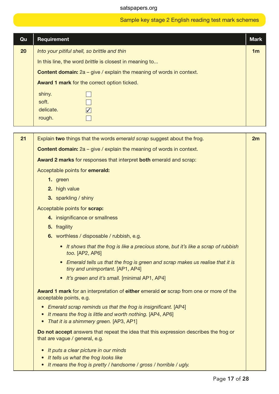| Qu | Requirement                                                                                                             | <b>Mark</b>    |
|----|-------------------------------------------------------------------------------------------------------------------------|----------------|
| 20 | Into your pitiful shell, so brittle and thin                                                                            | 1 <sub>m</sub> |
|    | In this line, the word brittle is closest in meaning to                                                                 |                |
|    | <b>Content domain:</b> 2a – give / explain the meaning of words in context.                                             |                |
|    | <b>Award 1 mark</b> for the correct option ticked.                                                                      |                |
|    | shiny.                                                                                                                  |                |
|    | soft.                                                                                                                   |                |
|    | delicate.<br>$\overline{\checkmark}$<br>rough.                                                                          |                |
|    |                                                                                                                         |                |
| 21 | Explain two things that the words emerald scrap suggest about the frog.                                                 | 2m             |
|    | <b>Content domain:</b> 2a – give / explain the meaning of words in context.                                             |                |
|    |                                                                                                                         |                |
|    | Award 2 marks for responses that interpret both emerald and scrap:                                                      |                |
|    | Acceptable points for emerald:                                                                                          |                |
|    | 1. green<br>2. high value                                                                                               |                |
|    | 3. sparkling / shiny                                                                                                    |                |
|    | Acceptable points for scrap:                                                                                            |                |
|    | 4. insignificance or smallness                                                                                          |                |
|    | 5. fragility                                                                                                            |                |
|    | 6. worthless / disposable / rubbish, e.g.                                                                               |                |
|    | It shows that the frog is like a precious stone, but it's like a scrap of rubbish<br>too. [AP2, AP6]                    |                |
|    | • Emerald tells us that the frog is green and scrap makes us realise that it is<br>tiny and unimportant. [AP1, AP4]     |                |
|    | It's green and it's small. [minimal AP1, AP4]                                                                           |                |
|    | Award 1 mark for an interpretation of either emerald or scrap from one or more of the<br>acceptable points, e.g.        |                |
|    | Emerald scrap reminds us that the frog is insignificant. [AP4]                                                          |                |
|    | It means the frog is little and worth nothing. [AP4, AP6]<br>$\bullet$                                                  |                |
|    | That it is a shimmery green. [AP3, AP1]<br>$\bullet$                                                                    |                |
|    | Do not accept answers that repeat the idea that this expression describes the frog or<br>that are vague / general, e.g. |                |
|    | It puts a clear picture in our minds                                                                                    |                |
|    | • It tells us what the frog looks like<br>• It means the frog is pretty / handsome / gross / horrible / ugly.           |                |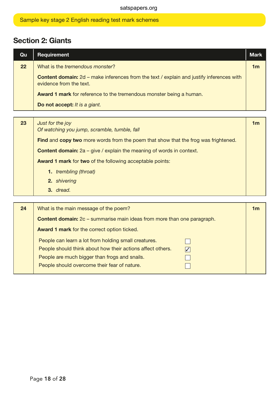#### Sample key stage 2 English reading test mark schemes

## Section 2: Giants

| Qu | <b>Requirement</b>                                                                                                         | <b>Mark</b> |
|----|----------------------------------------------------------------------------------------------------------------------------|-------------|
| 22 | What is the tremendous monster?                                                                                            | 1m          |
|    | <b>Content domain:</b> 2d – make inferences from the text / explain and justify inferences with<br>evidence from the text. |             |
|    | <b>Award 1 mark</b> for reference to the tremendous monster being a human.                                                 |             |
|    | Do not accept: It is a giant.                                                                                              |             |

| 23 | Just for the joy<br>Of watching you jump, scramble, tumble, fall                   | 1 <sub>m</sub> |
|----|------------------------------------------------------------------------------------|----------------|
|    | Find and copy two more words from the poem that show that the frog was frightened. |                |
|    | <b>Content domain:</b> 2a – give / explain the meaning of words in context.        |                |
|    | <b>Award 1 mark for two of the following acceptable points:</b>                    |                |
|    | <b>1.</b> trembling (throat)                                                       |                |
|    | 2. shivering                                                                       |                |
|    | 3. dread.                                                                          |                |

| 24 | What is the main message of the poem?                                          |  |
|----|--------------------------------------------------------------------------------|--|
|    | <b>Content domain:</b> 2c - summarise main ideas from more than one paragraph. |  |
|    | <b>Award 1 mark</b> for the correct option ticked.                             |  |
|    | People can learn a lot from holding small creatures.                           |  |
|    | People should think about how their actions affect others.                     |  |
|    | People are much bigger than frogs and snails.                                  |  |
|    | People should overcome their fear of nature.                                   |  |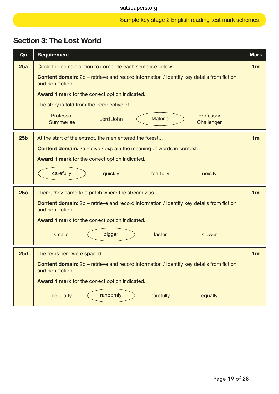Sample key stage 2 English reading test mark schemes

#### <span id="page-18-0"></span>Section 3: The Lost World

| Qu              | <b>Requirement</b>                                                                                                  | <b>Mark</b>    |  |  |
|-----------------|---------------------------------------------------------------------------------------------------------------------|----------------|--|--|
| 25a             | Circle the correct option to complete each sentence below.<br>1 <sub>m</sub>                                        |                |  |  |
|                 | <b>Content domain:</b> 2b – retrieve and record information / identify key details from fiction<br>and non-fiction. |                |  |  |
|                 | <b>Award 1 mark</b> for the correct option indicated.                                                               |                |  |  |
|                 | The story is told from the perspective of                                                                           |                |  |  |
|                 | Professor<br>Professor<br><b>Malone</b><br>Lord John<br>Summerlee<br>Challenger                                     |                |  |  |
| 25 <sub>b</sub> | At the start of the extract, the men entered the forest                                                             | 1 <sub>m</sub> |  |  |
|                 | <b>Content domain:</b> 2a – give / explain the meaning of words in context.                                         |                |  |  |
|                 | Award 1 mark for the correct option indicated.                                                                      |                |  |  |
|                 | carefully<br>quickly<br>fearfully<br>noisily                                                                        |                |  |  |
|                 |                                                                                                                     |                |  |  |
| <b>25c</b>      | There, they came to a patch where the stream was                                                                    | 1 <sub>m</sub> |  |  |
|                 | <b>Content domain:</b> 2b – retrieve and record information / identify key details from fiction<br>and non-fiction. |                |  |  |
|                 | <b>Award 1 mark</b> for the correct option indicated.                                                               |                |  |  |
|                 | bigger<br>smaller<br>faster<br>slower                                                                               |                |  |  |
|                 |                                                                                                                     |                |  |  |
| 25d             | The ferns here were spaced                                                                                          | 1 <sub>m</sub> |  |  |
|                 | <b>Content domain:</b> 2b – retrieve and record information / identify key details from fiction<br>and non-fiction. |                |  |  |
|                 | Award 1 mark for the correct option indicated.                                                                      |                |  |  |
|                 | randomly<br>regularly<br>carefully<br>equally                                                                       |                |  |  |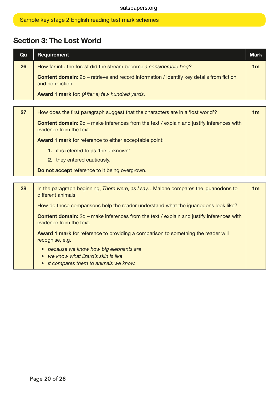#### Section 3: The Lost World

| Qu | Requirement                                                                                                                | <b>Mark</b>    |
|----|----------------------------------------------------------------------------------------------------------------------------|----------------|
| 26 | How far into the forest did the stream become a considerable bog?                                                          | 1 <sub>m</sub> |
|    | <b>Content domain:</b> 2b – retrieve and record information / identify key details from fiction<br>and non-fiction.        |                |
|    | <b>Award 1 mark</b> for: (After a) few hundred yards.                                                                      |                |
|    |                                                                                                                            |                |
| 27 | How does the first paragraph suggest that the characters are in a 'lost world'?                                            | 1 <sub>m</sub> |
|    | <b>Content domain:</b> 2d – make inferences from the text / explain and justify inferences with<br>evidence from the text. |                |
|    | Award 1 mark for reference to either acceptable point:                                                                     |                |
|    | 1. it is referred to as 'the unknown'                                                                                      |                |
|    | 2. they entered cautiously.                                                                                                |                |
|    | Do not accept reference to it being overgrown.                                                                             |                |
|    |                                                                                                                            |                |
| 28 | In the paragraph beginning, There were, as I sayMalone compares the iguanodons to<br>different animals.                    | 1 <sub>m</sub> |
|    | How do these comparisons help the reader understand what the iguanodons look like?                                         |                |
|    | <b>Content domain:</b> 2d – make inferences from the text / explain and justify inferences with<br>evidence from the text. |                |
|    | <b>Award 1 mark</b> for reference to providing a comparison to something the reader will<br>recognise, e.g.                |                |
|    | • because we know how big elephants are                                                                                    |                |
|    |                                                                                                                            |                |
|    | we know what lizard's skin is like<br>• it compares them to animals we know.                                               |                |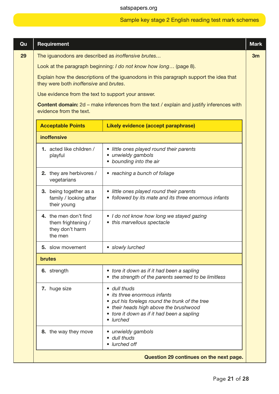| Requirement                                                               |                                                                                                                                                                                                    |
|---------------------------------------------------------------------------|----------------------------------------------------------------------------------------------------------------------------------------------------------------------------------------------------|
|                                                                           | The iguanodons are described as <i>inoffensive brutes</i>                                                                                                                                          |
|                                                                           | Look at the paragraph beginning: I do not know how long (page 8).                                                                                                                                  |
| they were both inoffensive and brutes.                                    | Explain how the descriptions of the iguanodons in this paragraph support the idea that                                                                                                             |
| Use evidence from the text to support your answer.                        |                                                                                                                                                                                                    |
| evidence from the text.                                                   | <b>Content domain:</b> 2d – make inferences from the text / explain and justify inferences with                                                                                                    |
| <b>Acceptable Points</b>                                                  | <b>Likely evidence (accept paraphrase)</b>                                                                                                                                                         |
| inoffensive                                                               |                                                                                                                                                                                                    |
| 1. acted like children /<br>playful                                       | • little ones played round their parents<br>• unwieldy gambols<br>bounding into the air                                                                                                            |
| 2. they are herbivores /<br>vegetarians                                   | • reaching a bunch of foliage                                                                                                                                                                      |
| 3. being together as a<br>family / looking after<br>their young           | • little ones played round their parents<br>• followed by its mate and its three enormous infants                                                                                                  |
| 4. the men don't find<br>them frightening /<br>they don't harm<br>the men | • I do not know how long we stayed gazing<br>• this marvellous spectacle                                                                                                                           |
| 5. slow movement                                                          | slowly lurched                                                                                                                                                                                     |
| <b>brutes</b>                                                             |                                                                                                                                                                                                    |
| 6. strength                                                               | • tore it down as if it had been a sapling<br>• the strength of the parents seemed to be limitless                                                                                                 |
| 7. huge size                                                              | • dull thuds<br><i>its three enormous infants</i><br>put his forelegs round the trunk of the tree<br>their heads high above the brushwood<br>tore it down as if it had been a sapling<br>• lurched |
| 8. the way they move                                                      | • unwieldy gambols<br>dull thuds<br>lurched off                                                                                                                                                    |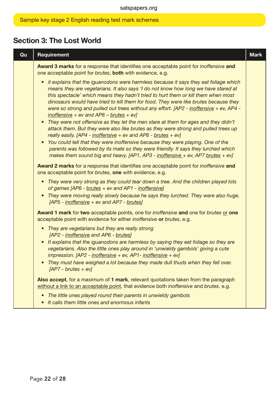## Section 3: The Lost World

| Qu | Requirement                                                                                                                                                                                                                                                                                                                                                                                                                                                                                                                                                                                                                                                                                                                                                                                                                                                                                                                                                                                                                                   | <b>Mark</b> |
|----|-----------------------------------------------------------------------------------------------------------------------------------------------------------------------------------------------------------------------------------------------------------------------------------------------------------------------------------------------------------------------------------------------------------------------------------------------------------------------------------------------------------------------------------------------------------------------------------------------------------------------------------------------------------------------------------------------------------------------------------------------------------------------------------------------------------------------------------------------------------------------------------------------------------------------------------------------------------------------------------------------------------------------------------------------|-------------|
|    | Award 3 marks for a response that identifies one acceptable point for <i>inoffensive</i> and<br>one acceptable point for brutes, both with evidence, e.g.                                                                                                                                                                                                                                                                                                                                                                                                                                                                                                                                                                                                                                                                                                                                                                                                                                                                                     |             |
|    | it explains that the iguanodons were harmless because it says they eat foliage which<br>$\bullet$<br>means they are vegetarians. It also says 'I do not know how long we have stared at<br>this spectacle' which means they hadn't tried to hurt them or kill them when most<br>dinosaurs would have tried to kill them for food. They were like brutes because they<br>were so strong and pulled out trees without any effort. $[AP2 - inoffensive + ev, AP4 -$<br>$inv$ inoffensive + ev and AP6 - brutes + ev]<br>They were not offensive as they let the men stare at them for ages and they didn't<br>$\bullet$<br>attack them. But they were also like brutes as they were strong and pulled trees up<br>really easily. [AP4 - inoffensive $+$ ev and AP6 - brutes $+$ ev]<br>• You could tell that they were inoffensive because they were playing. One of the<br>parents was followed by its mate so they were friendly. It says they lurched which<br>makes them sound big and heavy. [AP1, AP3 - inoffensive + ev, AP7 brutes + ev] |             |
|    | Award 2 marks for a response that identifies one acceptable point for <i>inoffensive</i> and<br>one acceptable point for brutes, one with evidence, e.g.                                                                                                                                                                                                                                                                                                                                                                                                                                                                                                                                                                                                                                                                                                                                                                                                                                                                                      |             |
|    | • They were very strong as they could tear down a tree. And the children played lots<br>of games [AP6 - brutes + ev and AP1 - inoffensive]                                                                                                                                                                                                                                                                                                                                                                                                                                                                                                                                                                                                                                                                                                                                                                                                                                                                                                    |             |
|    | They were moving really slowly because he says they lurched. They were also huge.<br>[AP5 - inoffensive + ev and AP7 - brutes]                                                                                                                                                                                                                                                                                                                                                                                                                                                                                                                                                                                                                                                                                                                                                                                                                                                                                                                |             |
|    | Award 1 mark for two acceptable points, one for <i>inoffensive</i> and one for <i>brutes</i> or one<br>acceptable point with evidence for either inoffensive or brutes, e.g.                                                                                                                                                                                                                                                                                                                                                                                                                                                                                                                                                                                                                                                                                                                                                                                                                                                                  |             |
|    | • They are vegetarians but they are really strong<br>[AP2 - inoffensive and AP6 - brutes]                                                                                                                                                                                                                                                                                                                                                                                                                                                                                                                                                                                                                                                                                                                                                                                                                                                                                                                                                     |             |
|    | It explains that the iguanodons are harmless by saying they eat foliage so they are<br>$\bullet$<br>vegetarians. Also the little ones play around in 'unwieldy gambols' giving a cute<br>impression. [AP2 - inoffensive + ev, AP1- inoffensive + ev]                                                                                                                                                                                                                                                                                                                                                                                                                                                                                                                                                                                                                                                                                                                                                                                          |             |
|    | They must have weighed a lot because they made dull thuds when they fell over.<br>$\bullet$<br>$[AP7 - brutes + ev]$                                                                                                                                                                                                                                                                                                                                                                                                                                                                                                                                                                                                                                                                                                                                                                                                                                                                                                                          |             |
|    | Also accept, for a maximum of 1 mark, relevant quotations taken from the paragraph<br>without a link to an acceptable point, that evidence both inoffensive and brutes, e.g.                                                                                                                                                                                                                                                                                                                                                                                                                                                                                                                                                                                                                                                                                                                                                                                                                                                                  |             |
|    | The little ones played round their parents in unwieldy gambols<br>$\bullet$<br>It calls them little ones and enormous infants<br>$\bullet$                                                                                                                                                                                                                                                                                                                                                                                                                                                                                                                                                                                                                                                                                                                                                                                                                                                                                                    |             |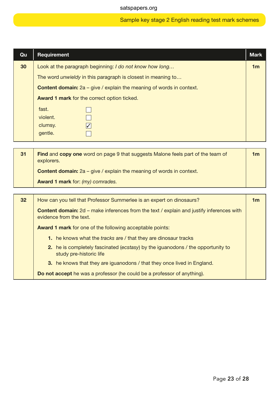| Qu | Requirement                                                                 | <b>Mark</b>    |
|----|-----------------------------------------------------------------------------|----------------|
| 30 | Look at the paragraph beginning: I do not know how long                     | 1 <sub>m</sub> |
|    | The word <i>unwieldy</i> in this paragraph is closest in meaning to         |                |
|    | <b>Content domain:</b> 2a – give / explain the meaning of words in context. |                |
|    | <b>Award 1 mark</b> for the correct option ticked.                          |                |
|    | fast.                                                                       |                |
|    | violent.                                                                    |                |
|    | clumsy.<br>$\vert\mathcal{J}\vert$                                          |                |
|    | gentle.                                                                     |                |

| 31 | Find and copy one word on page 9 that suggests Malone feels part of the team of<br>explorers. | 1m |
|----|-----------------------------------------------------------------------------------------------|----|
|    | <b>Content domain:</b> 2a - give / explain the meaning of words in context.                   |    |
|    | <b>Award 1 mark</b> for: (my) comrades.                                                       |    |

| 32 <sub>2</sub> | How can you tell that Professor Summerlee is an expert on dinosaurs?                                                       |  |  |
|-----------------|----------------------------------------------------------------------------------------------------------------------------|--|--|
|                 | <b>Content domain:</b> 2d – make inferences from the text / explain and justify inferences with<br>evidence from the text. |  |  |
|                 | <b>Award 1 mark</b> for one of the following acceptable points:                                                            |  |  |
|                 | 1. he knows what the tracks are / that they are dinosaur tracks                                                            |  |  |
|                 | <b>2.</b> he is completely fascinated (ecstasy) by the iguanodons / the opportunity to<br>study pre-historic life          |  |  |
|                 | 3. he knows that they are iguanodons / that they once lived in England.                                                    |  |  |
|                 | Do not accept he was a professor (he could be a professor of anything).                                                    |  |  |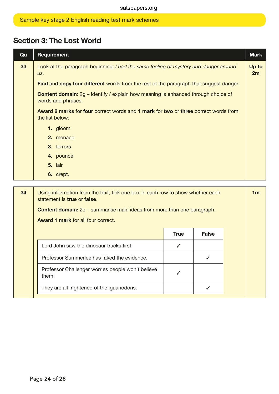#### Section 3: The Lost World

| Qu | Requirement                                                                                                    | <b>Mark</b> |
|----|----------------------------------------------------------------------------------------------------------------|-------------|
| 33 | Look at the paragraph beginning: I had the same feeling of mystery and danger around<br>US.                    | Up to<br>2m |
|    | Find and copy four different words from the rest of the paragraph that suggest danger.                         |             |
|    | <b>Content domain:</b> 2g – identify / explain how meaning is enhanced through choice of<br>words and phrases. |             |
|    | <b>Award 2 marks for four correct words and 1 mark for two or three correct words from</b><br>the list below:  |             |
|    | 1. gloom                                                                                                       |             |
|    | 2. menace                                                                                                      |             |
|    | 3. terrors                                                                                                     |             |
|    | 4. pounce                                                                                                      |             |
|    | 5. lair                                                                                                        |             |
|    | 6. crept.                                                                                                      |             |
|    |                                                                                                                |             |

34 Using information from the text, tick one box in each row to show whether each statement is true or false. Content domain: 2c – summarise main ideas from more than one paragraph. Award 1 mark for all four correct. True False Lord John saw the dinosaur tracks first.  $\sqrt{2}$ Professor Summerlee has faked the evidence. ✓ Professor Challenger worries people won't believe √<br>them. They are all frightened of the iguanodons. ✓ 1m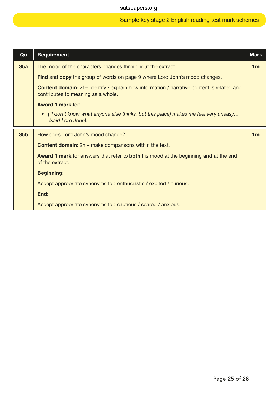| Qu         | <b>Requirement</b>                                                                                                                      | <b>Mark</b>    |
|------------|-----------------------------------------------------------------------------------------------------------------------------------------|----------------|
| 35a        | The mood of the characters changes throughout the extract.                                                                              | 1 <sub>m</sub> |
|            | Find and copy the group of words on page 9 where Lord John's mood changes.                                                              |                |
|            | <b>Content domain:</b> 2f – identify / explain how information / narrative content is related and<br>contributes to meaning as a whole. |                |
|            | <b>Award 1 mark for:</b>                                                                                                                |                |
|            | • ("I don't know what anyone else thinks, but this place) makes me feel very uneasy"<br>(said Lord John).                               |                |
| <b>35b</b> | How does Lord John's mood change?                                                                                                       | 1 <sub>m</sub> |
|            | <b>Content domain:</b> 2h – make comparisons within the text.                                                                           |                |
|            | <b>Award 1 mark</b> for answers that refer to <b>both</b> his mood at the beginning and at the end<br>of the extract.                   |                |
|            | <b>Beginning:</b>                                                                                                                       |                |
|            | Accept appropriate synonyms for: enthusiastic / excited / curious.                                                                      |                |
|            | End:                                                                                                                                    |                |
|            | Accept appropriate synonyms for: cautious / scared / anxious.                                                                           |                |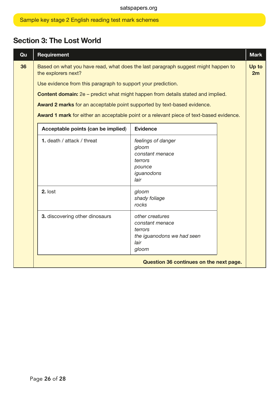## Section 3: The Lost World

| Qu | Requirement                                                                                              |                                                                                              |  | <b>Mark</b> |
|----|----------------------------------------------------------------------------------------------------------|----------------------------------------------------------------------------------------------|--|-------------|
| 36 | Based on what you have read, what does the last paragraph suggest might happen to<br>the explorers next? |                                                                                              |  | Up to<br>2m |
|    | Use evidence from this paragraph to support your prediction.                                             |                                                                                              |  |             |
|    | <b>Content domain:</b> 2e – predict what might happen from details stated and implied.                   |                                                                                              |  |             |
|    | Award 2 marks for an acceptable point supported by text-based evidence.                                  |                                                                                              |  |             |
|    | Award 1 mark for either an acceptable point or a relevant piece of text-based evidence.                  |                                                                                              |  |             |
|    | Acceptable points (can be implied)                                                                       | <b>Evidence</b>                                                                              |  |             |
|    | 1. death / attack / threat                                                                               | feelings of danger<br>gloom<br>constant menace<br>terrors<br>pounce<br>iguanodons<br>lair    |  |             |
|    | 2. lost                                                                                                  | gloom<br>shady foliage<br>rocks                                                              |  |             |
|    | 3. discovering other dinosaurs                                                                           | other creatures<br>constant menace<br>terrors<br>the iguanodons we had seen<br>lair<br>gloom |  |             |
|    | Question 36 continues on the next page.                                                                  |                                                                                              |  |             |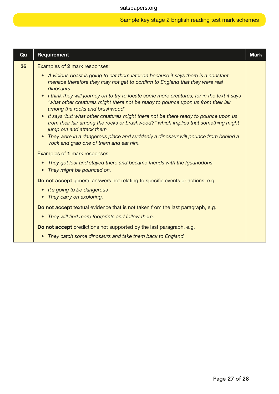| Qu | Requirement                                                                                                                                                                                                        | <b>Mark</b> |
|----|--------------------------------------------------------------------------------------------------------------------------------------------------------------------------------------------------------------------|-------------|
| 36 | Examples of 2 mark responses:                                                                                                                                                                                      |             |
|    | A vicious beast is going to eat them later on because it says there is a constant<br>$\bullet$<br>menace therefore they may not get to confirm to England that they were real<br>dinosaurs.                        |             |
|    | • I think they will journey on to try to locate some more creatures, for in the text it says<br>'what other creatures might there not be ready to pounce upon us from their lair<br>among the rocks and brushwood' |             |
|    | • It says 'but what other creatures might there not be there ready to pounce upon us<br>from their lair among the rocks or brushwood?" which implies that something might<br>jump out and attack them              |             |
|    | • They were in a dangerous place and suddenly a dinosaur will pounce from behind a<br>rock and grab one of them and eat him.                                                                                       |             |
|    | Examples of 1 mark responses:                                                                                                                                                                                      |             |
|    | They got lost and stayed there and became friends with the Iguanodons<br>They might be pounced on.                                                                                                                 |             |
|    | Do not accept general answers not relating to specific events or actions, e.g.                                                                                                                                     |             |
|    | It's going to be dangerous<br>They carry on exploring.                                                                                                                                                             |             |
|    | Do not accept textual evidence that is not taken from the last paragraph, e.g.                                                                                                                                     |             |
|    | They will find more footprints and follow them.<br>$\bullet$                                                                                                                                                       |             |
|    | Do not accept predictions not supported by the last paragraph, e.g.                                                                                                                                                |             |
|    | They catch some dinosaurs and take them back to England.                                                                                                                                                           |             |